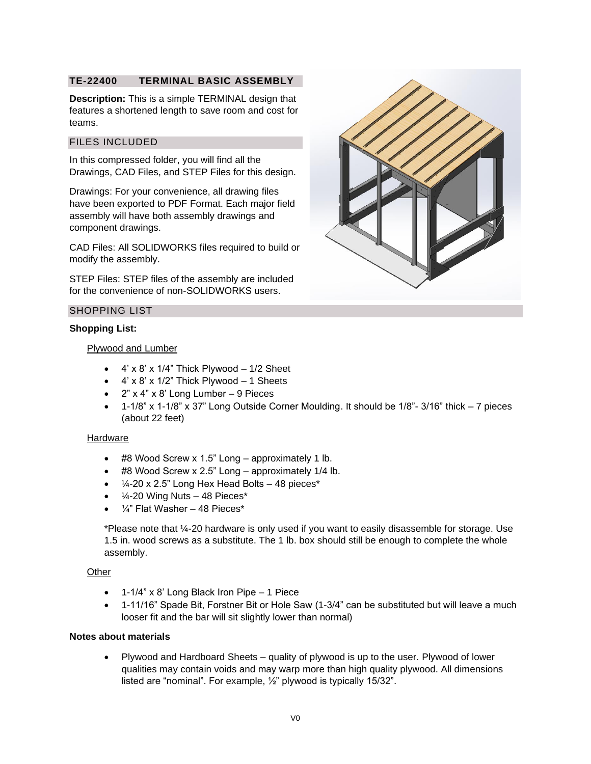# **TE-22400 TERMINAL BASIC ASSEMBLY**

**Description:** This is a simple TERMINAL design that features a shortened length to save room and cost for teams.

## FILES INCLUDED

In this compressed folder, you will find all the Drawings, CAD Files, and STEP Files for this design.

Drawings: For your convenience, all drawing files have been exported to PDF Format. Each major field assembly will have both assembly drawings and component drawings.

CAD Files: All SOLIDWORKS files required to build or modify the assembly.

STEP Files: STEP files of the assembly are included for the convenience of non-SOLIDWORKS users.

## SHOPPING LIST

## **Shopping List:**

## Plywood and Lumber

- $\bullet$  4' x 8' x 1/4" Thick Plywood  $-$  1/2 Sheet
- $\bullet$  4' x 8' x 1/2" Thick Plywood  $-$  1 Sheets
- $2" \times 4" \times 8'$  Long Lumber 9 Pieces
- 1-1/8" x 1-1/8" x 37" Long Outside Corner Moulding. It should be 1/8"- 3/16" thick 7 pieces (about 22 feet)

## Hardware

- #8 Wood Screw x 1.5" Long approximately 1 lb.
- #8 Wood Screw x 2.5" Long approximately 1/4 lb.
- $\frac{1}{4}$ -20 x 2.5" Long Hex Head Bolts 48 pieces\*
- $\bullet$  /4-20 Wing Nuts 48 Pieces\*
- ¼" Flat Washer 48 Pieces\*

\*Please note that ¼-20 hardware is only used if you want to easily disassemble for storage. Use 1.5 in. wood screws as a substitute. The 1 lb. box should still be enough to complete the whole assembly.

#### **Other**

- 1-1/4" x 8' Long Black Iron Pipe 1 Piece
- 1-11/16" Spade Bit, Forstner Bit or Hole Saw (1-3/4" can be substituted but will leave a much looser fit and the bar will sit slightly lower than normal)

#### **Notes about materials**

• Plywood and Hardboard Sheets – quality of plywood is up to the user. Plywood of lower qualities may contain voids and may warp more than high quality plywood. All dimensions listed are "nominal". For example, ½" plywood is typically 15/32".